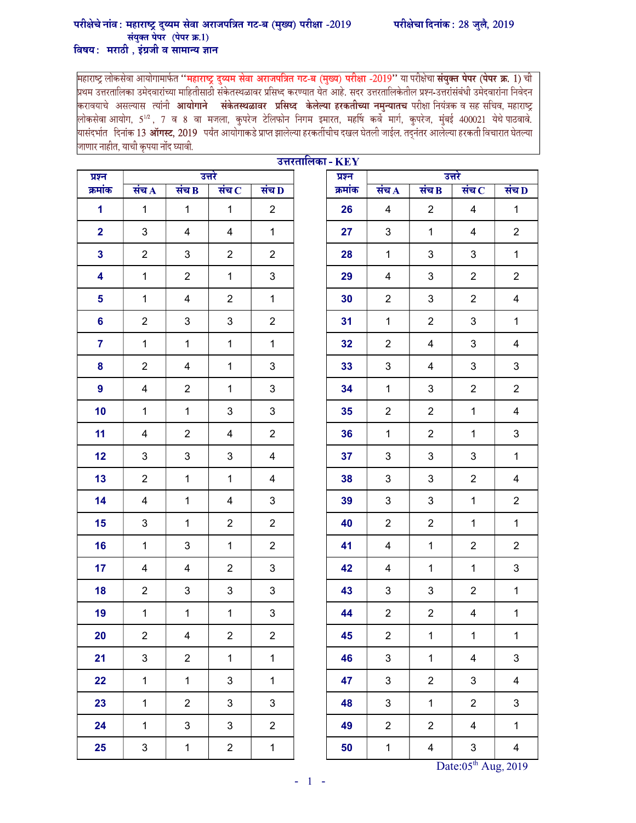## परीक्षेचे नांव : महाराष्ट्र दुय्यम सेवा अराजपत्रित गट-ब (मुख्य) परीक्षा -2019 परीक्षेचा दिनांक : 28 जुलै, 2019 संयुक्त पेपर (पेपर क्र.1) विषय: मराठी, इंग्रजी व सामान्य ज्ञान

महाराष्ट्र लोकसेवा आयोगामार्फत **''महाराष्ट्र दुय्यम सेवा अराजपत्रित गट-ब** (मुख्य) **परीक्षा -2019''** या परीक्षेचा **संयुक्त पेपर (पेपर क्र. 1**) ची<br>प्रथम उत्तरतालिका उमेदवारांच्या माहितीसाठी संकेतस्थळावर प्रसिध्द करण्यात येत करावयाचे असल्यास त्यांनी **आयोगाने संकेतस्थळावर प्रसिध्द केलेल्या हरकतीच्या नमुन्यातच परीक्षा नियंत्रक व सह सचिव, महाराष्ट्र** लोकसेवा आयोग, 5½, 7 व 8 वा मजला, कुपरेज टेलिफोन निगम इमारत, महर्षि कर्वे मार्ग, कुपरेज, मुंबई 400021 येथे पाठवावे.<br>यासंदर्भात दिनांक 13 **ऑगस्ट,** 2019 पर्यंत आयोगाकडे प्राप्त झालेल्या हरकतींचीच दखल घेतली जाईल तद्नंतर आलेल् जाणार नाहीत, याची कृपया नोंद घ्यावी.

|                | उत्तरतालिका - $\mathbf{KEY}$ |                |                |                  |                |                  |         |                |                         |                         |                |
|----------------|------------------------------|----------------|----------------|------------------|----------------|------------------|---------|----------------|-------------------------|-------------------------|----------------|
| प्रश्न         |                              | उत्तरे         |                |                  |                | उत्तरे<br>प्रश्न |         |                |                         |                         |                |
| क्रमांक        |                              | सच $\bf A$     | संच $\bf{B}$   | संच $\bf C$      | सच D           |                  | क्रमांक | सच $\bf A$     | संच $\bf{B}$            | संच $\,$                | संच D          |
| 1              |                              | $\mathbf{1}$   | 1              | $\mathbf{1}$     | $\overline{2}$ |                  | 26      | 4              | 2                       | 4                       | $\mathbf{1}$   |
| $\overline{2}$ |                              | 3              | $\overline{4}$ | $\overline{4}$   | $\mathbf{1}$   |                  | 27      | 3              | $\mathbf{1}$            | 4                       | $\overline{2}$ |
| 3              |                              | $\overline{2}$ | 3              | $\overline{2}$   | $\overline{c}$ |                  | 28      | $\mathbf 1$    | 3                       | $\mathbf{3}$            | $\mathbf{1}$   |
| 4              |                              | $\mathbf{1}$   | $\overline{2}$ | $\mathbf{1}$     | $\mathbf{3}$   |                  | 29      | 4              | 3                       | $\overline{2}$          | $\overline{2}$ |
| 5              |                              | $\mathbf{1}$   | $\overline{4}$ | $\overline{2}$   | $\mathbf{1}$   |                  | 30      | $\overline{2}$ | $\mathsf 3$             | $\overline{2}$          | 4              |
| 6              |                              | $\overline{2}$ | 3              | 3                | $\overline{2}$ |                  | 31      | $\mathbf{1}$   | $\overline{2}$          | 3                       | $\mathbf 1$    |
| $\overline{7}$ |                              | $\mathbf{1}$   | $\mathbf{1}$   | $\mathbf{1}$     | $\mathbf{1}$   |                  | 32      | $\overline{2}$ | $\overline{4}$          | 3                       | 4              |
| 8              |                              | $\overline{2}$ | $\overline{4}$ | $\mathbf{1}$     | 3              |                  | 33      | 3              | 4                       | $\mathbf{3}$            | 3              |
| 9              |                              | 4              | $\overline{2}$ | $\mathbf{1}$     | 3              |                  | 34      | $\mathbf{1}$   | 3                       | $\overline{2}$          | $\overline{2}$ |
| 10             |                              | $\mathbf{1}$   | $\mathbf{1}$   | $\mathbf{3}$     | 3              |                  | 35      | $\overline{2}$ | $\overline{2}$          | $\mathbf{1}$            | 4              |
| 11             |                              | 4              | $\overline{2}$ | 4                | $\overline{2}$ |                  | 36      | $\mathbf{1}$   | $\overline{2}$          | $\mathbf{1}$            | 3              |
| 12             |                              | 3              | 3              | 3                | $\overline{4}$ |                  | 37      | 3              | 3                       | 3                       | $\mathbf{1}$   |
| 13             |                              | $\overline{2}$ | $\mathbf{1}$   | $\mathbf{1}$     | 4              |                  | 38      | 3              | 3                       | $\overline{2}$          | 4              |
| 14             |                              | 4              | $\mathbf{1}$   | 4                | 3              |                  | 39      | 3              | $\mathbf{3}$            | $\mathbf 1$             | $\overline{2}$ |
| 15             |                              | 3              | $\mathbf{1}$   | $\overline{2}$   | $\overline{2}$ |                  | 40      | $\overline{2}$ | $\overline{2}$          | $\mathbf{1}$            | $\mathbf{1}$   |
| 16             |                              | $\mathbf{1}$   | 3              | $\mathbf{1}$     | $\overline{2}$ |                  | 41      | 4              | $\mathbf{1}$            | $\overline{2}$          | $\overline{c}$ |
| 17             |                              | $\overline{4}$ | $\overline{4}$ | $\overline{2}$   | 3              |                  | 42      | 4              | $\mathbf{1}$            | $\mathbf{1}$            | 3              |
| 18             |                              | $\overline{2}$ | $\mathbf{3}$   | 3                | 3              |                  | 43      | 3              | 3                       | $\overline{2}$          | $\mathbf{1}$   |
| 19             |                              | $\mathbf{1}$   | $\mathbf{1}$   | $\mathbf{1}$     | $\mathbf{3}$   |                  | 44      | $\overline{2}$ | $\overline{2}$          | 4                       | $\mathbf{1}$   |
| 20             |                              | $\overline{2}$ | $\overline{4}$ | $\sqrt{2}$       | $\overline{2}$ |                  | 45      | $\overline{2}$ | $\mathbf{1}$            | $\mathbf{1}$            | $\mathbf{1}$   |
| 21             |                              | $\mathfrak{S}$ | $\overline{2}$ | $\mathbf{1}$     | $\mathbf{1}$   |                  | 46      | $\mathfrak{S}$ | $\mathbf{1}$            | $\overline{\mathbf{4}}$ | 3              |
| 22             |                              | $\mathbf{1}$   | $\mathbf 1$    | $\mathbf{3}$     | $\mathbf{1}$   |                  | 47      | $\mathfrak{S}$ | $\overline{2}$          | $\mathbf{3}$            | $\overline{4}$ |
| 23             |                              | $\mathbf{1}$   | $\overline{2}$ | $\mathbf{3}$     | $\mathbf{3}$   |                  | 48      | $\mathbf{3}$   | $\mathbf{1}$            | $\overline{2}$          | 3              |
| 24             |                              | $\mathbf{1}$   | $\mathfrak{S}$ | $\mathbf{3}$     | $\overline{2}$ |                  | 49      | $\overline{2}$ | $\overline{2}$          | $\overline{4}$          | $\mathbf{1}$   |
| 25             |                              | $\mathbf{3}$   | $\mathbf 1$    | $\boldsymbol{2}$ | $\mathbf 1$    |                  | 50      | $\mathbf{1}$   | $\overline{\mathbf{4}}$ | $\mathbf{3}$            | $\overline{4}$ |

| प्रश्न  | उत्तरे                  |                         |                             |                         |  |  |  |  |
|---------|-------------------------|-------------------------|-----------------------------|-------------------------|--|--|--|--|
| क्रमांक | संच $\overline{A}$      | संच $B$                 | संच $\overline{\mathbf{C}}$ | संच D                   |  |  |  |  |
| 26      | $\overline{\mathbf{4}}$ | $\overline{\mathbf{c}}$ | 4                           | $\overline{1}$          |  |  |  |  |
| 27      | 3                       | $\mathbf 1$             | $\overline{\mathbf{4}}$     | $\overline{c}$          |  |  |  |  |
| 28      | $\mathbf 1$             | 3                       | 3                           | $\mathbf 1$             |  |  |  |  |
| 29      | 4                       | 3                       | $\overline{\mathbf{c}}$     | $\overline{\mathbf{c}}$ |  |  |  |  |
| 30      | $\overline{\mathbf{c}}$ | 3                       | $\overline{c}$              | 4                       |  |  |  |  |
| 31      | $\mathbf 1$             | $\overline{\mathbf{c}}$ | 3                           | $\mathbf 1$             |  |  |  |  |
| 32      | $\boldsymbol{2}$        | $\overline{\mathbf{4}}$ | 3                           | 4                       |  |  |  |  |
| 33      | 3                       | $\overline{\mathbf{4}}$ | 3                           | 3                       |  |  |  |  |
| 34      | $\mathbf 1$             | 3                       | $\overline{c}$              | $\overline{\mathbf{c}}$ |  |  |  |  |
| 35      | $\overline{\mathbf{c}}$ | $\overline{\mathbf{c}}$ | 1                           | 4                       |  |  |  |  |
| 36      | $\mathbf 1$             | 2                       | $\mathbf 1$                 | 3                       |  |  |  |  |
| 37      | 3                       | 3                       | 3                           | $\mathbf 1$             |  |  |  |  |
| 38      | 3                       | 3                       | $\overline{2}$              | 4                       |  |  |  |  |
| 39      | 3                       | 3                       | $\mathbf 1$                 | $\overline{c}$          |  |  |  |  |
| 40      | $\overline{c}$          | $\overline{\mathbf{c}}$ | $\mathbf 1$                 | 1                       |  |  |  |  |
| 41      | 4                       | 1                       | $\overline{c}$              | $\overline{c}$          |  |  |  |  |
| 42      | 4                       | 1                       | $\mathbf 1$                 | 3                       |  |  |  |  |
| 43      | 3                       | 3                       | $\overline{c}$              | $\mathbf 1$             |  |  |  |  |
| 44      | $\overline{\mathbf{c}}$ | $\overline{\mathbf{c}}$ | 4                           | 1                       |  |  |  |  |
| 45      | 2                       | 1                       | 1                           | 1                       |  |  |  |  |
| 46      | 3                       | 1                       | $\overline{\mathcal{A}}$    | 3                       |  |  |  |  |
| 47      | 3                       | 2                       | 3                           | 4                       |  |  |  |  |
| 48      | 3                       | 1                       | $\overline{\mathbf{c}}$     | 3                       |  |  |  |  |
| 49      | $\overline{\mathbf{c}}$ | 2                       | $\overline{\mathbf{4}}$     | $\mathbf 1$             |  |  |  |  |
| EN.     | $\overline{1}$          | $\overline{A}$          | C.                          |                         |  |  |  |  |

Date: $05<sup>th</sup>$  Aug, 2019